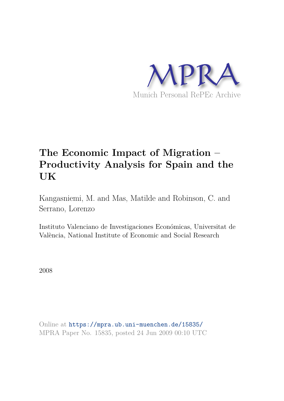

# **The Economic Impact of Migration – Productivity Analysis for Spain and the UK**

Kangasniemi, M. and Mas, Matilde and Robinson, C. and Serrano, Lorenzo

Instituto Valenciano de Investigaciones Económicas, Universitat de València, National Institute of Economic and Social Research

2008

Online at https://mpra.ub.uni-muenchen.de/15835/ MPRA Paper No. 15835, posted 24 Jun 2009 00:10 UTC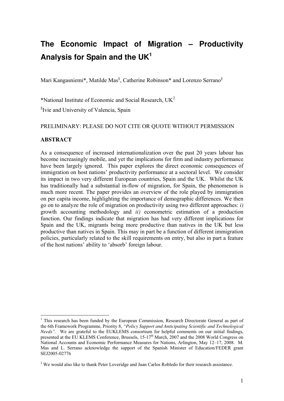## **The Economic Impact of Migration – Productivity Analysis for Spain and the UK<sup>1</sup>**

Mari Kangasniemi\*, Matilde Mas<sup>§</sup>, Catherine Robinson\* and Lorenzo Serrano<sup>§</sup>

\*National Institute of Economic and Social Research,  $UK<sup>2</sup>$ 

§ Ivie and University of Valencia, Spain

#### PRELIMINARY: PLEASE DO NOT CITE OR QUOTE WITHOUT PERMISSION

#### **ABSTRACT**

<u>.</u>

As a consequence of increased internationalization over the past 20 years labour has become increasingly mobile, and yet the implications for firm and industry performance have been largely ignored. This paper explores the direct economic consequences of immigration on host nations' productivity performance at a sectoral level. We consider its impact in two very different European countries, Spain and the UK. Whilst the UK has traditionally had a substantial in-flow of migration, for Spain, the phenomenon is much more recent. The paper provides an overview of the role played by immigration on per capita income, highlighting the importance of demographic differences. We then go on to analyze the role of migration on productivity using two different approaches: *i)*  growth accounting methodology and *ii)* econometric estimation of a production function. Our findings indicate that migration has had very different implications for Spain and the UK, migrants being more productive than natives in the UK but less productive than natives in Spain. This may in part be a function of different immigration policies, particularly related to the skill requirements on entry, but also in part a feature of the host nations' ability to 'absorb' foreign labour.

<sup>&</sup>lt;sup>1</sup> This research has been funded by the European Commission, Research Directorate General as part of the 6th Framework Programme, Priority 8, *"Policy Support and Anticipating Scientific and Technological Needs".* We are grateful to the EUKLEMS consortium for helpful comments on our initial findings, presented at the EU KLEMS Conference, Brussels, 15-17<sup>th</sup> March, 2007 and the 2008 World Congress on National Accounts and Economic Performance Measures for Nations, Arlington, May 12–17, 2008. M. Mas and L. Serrano acknowledge the support of the Spanish Minister of Education/FEDER grant SEJ2005-02776

<sup>&</sup>lt;sup>2</sup> We would also like to thank Peter Loveridge and Juan Carlos Robledo for their research assistance.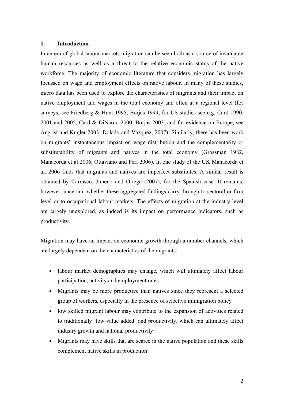#### **1. Introduction**

In an era of global labour markets migration can be seen both as a source of invaluable human resources as well as a threat to the relative economic status of the native workforce. The majority of economic literature that considers migration has largely focussed on wage and employment effects on native labour. In many of these studies, micro data has been used to explore the characteristics of migrants and their impact on native employment and wages in the total economy and often at a regional level (for surveys, see Friedberg & Hunt 1995, Borjas 1999, for US studies see e.g. Card 1990, 2001 and 2005, Card & DiNardo 2000, Borjas 2003, and for evidence on Europe, see Angrist and Kugler 2003; Dolado and Vázquez, 2007). Similarly, there has been work on migrants' instantaneous impact on wage distribution and the complementarity or substitutability of migrants and natives in the total economy (Grossman 1982, Manacorda et al 2006, Ottaviano and Peri 2006). In one study of the UK Manacorda et al. 2006 finds that migrants and natives are imperfect substitutes. A similar result is obtained by Carrasco, Jimeno and Ortega (2007), for the Spanish case. It remains, however, uncertain whether these aggregated findings carry through to sectoral or firm level or to occupational labour markets. The effects of migration at the industry level are largely unexplored, as indeed is its impact on performance indicators, such as productivity.

Migration may have an impact on economic growth through a number channels, which are largely dependent on the characteristics of the migrants:

- labour market demographics may change, which will ultimately affect labour participation, activity and employment rates
- Migrants may be more productive than natives since they represent a selected group of workers, especially in the presence of selective immigration policy
- low skilled migrant labour may contribute to the expansion of activities related to traditionally low value added and productivity, which can ultimately affect industry growth and national productivity
- Migrants may have skills that are scarce in the native population and these skills complement native skills in production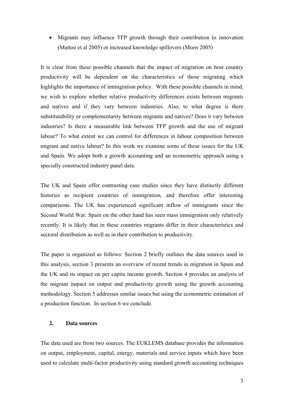• Migrants may influence TFP growth through their contribution to innovation (Mattoo et al 2005) or increased knowledge spillovers (Moen 2005)

It is clear from these possible channels that the impact of migration on host country productivity will be dependent on the characteristics of those migrating which highlights the importance of immigration policy. With these possible channels in mind, we wish to explore whether relative productivity differences exists between migrants and natives and if they vary between industries. Also, to what degree is there substitutability or complementarity between migrants and natives? Does it vary between industries? Is there a measurable link between TFP growth and the use of migrant labour? To what extent we can control for differences in labour composition between migrant and native labour? In this work we examine some of these issues for the UK and Spain. We adopt both a growth accounting and an econometric approach using a specially constructed industry panel data.

The UK and Spain offer contrasting case studies since they have distinctly different histories as recipient countries of immigration, and therefore offer interesting comparisons. The UK has experienced significant inflow of immigrants since the Second World War. Spain on the other hand has seen mass immigration only relatively recently. It is likely that in these countries migrants differ in their characteristics and sectoral distribution as well as in their contribution to productivity.

The paper is organized as follows: Section 2 briefly outlines the data sources used in this analysis, section 3 presents an overview of recent trends in migration in Spain and the UK and its impact on per capita income growth. Section 4 provides an analysis of the migrant impact on output and productivity growth using the growth accounting methodology. Section 5 addresses similar issues but using the econometric estimation of a production function. In section 6 we conclude.

#### **2. Data sources**

The data used are from two sources. The EUKLEMS database provides the information on output, employment, capital, energy, materials and service inputs which have been used to calculate multi-factor productivity using standard growth accounting techniques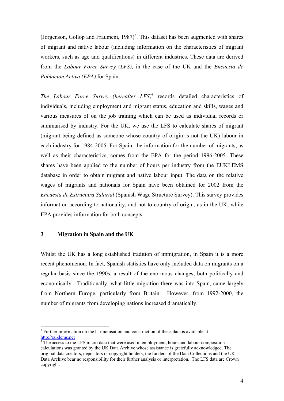(Jorgenson, Gollop and Fraumeni,  $1987$ )<sup>3</sup>. This dataset has been augmented with shares of migrant and native labour (including information on the characteristics of migrant workers, such as age and qualifications) in different industries. These data are derived from the *Labour Force Survey* (*LFS)*, in the case of the UK and the *Encuesta de Población Activa (EPA)* for Spain.

*The Labour Force Survey (hereafter LFS)<sup>4</sup>* records detailed characteristics of individuals, including employment and migrant status, education and skills, wages and various measures of on the job training which can be used as individual records or summarised by industry. For the UK, we use the LFS to calculate shares of migrant (migrant being defined as someone whose country of origin is not the UK) labour in each industry for 1984-2005. For Spain, the information for the number of migrants, as well as their characteristics, comes from the EPA for the period 1996-2005. These shares have been applied to the number of hours per industry from the EUKLEMS database in order to obtain migrant and native labour input. The data on the relative wages of migrants and nationals for Spain have been obtained for 2002 from the *Encuesta de Estructura Salarial* (Spanish Wage Structure Survey). This survey provides information according to nationality, and not to country of origin, as in the UK, while EPA provides information for both concepts.

#### **3 Migration in Spain and the UK**

-

Whilst the UK has a long established tradition of immigration, in Spain it is a more recent phenomenon. In fact, Spanish statistics have only included data on migrants on a regular basis since the 1990s, a result of the enormous changes, both politically and economically. Traditionally, what little migration there was into Spain, came largely from Northern Europe, particularly from Britain. However, from 1992-2000, the number of migrants from developing nations increased dramatically.

<sup>&</sup>lt;sup>3</sup> Further information on the harmonisation and construction of these data is available at

http://euklems.net<br><sup>4</sup> The access to the LFS micro data that were used in employment, hours and labour composition calculations was granted by the UK Data Archive whose assistance is gratefully acknowledged. The original data creators, depositors or copyright holders, the funders of the Data Collections and the UK Data Archive bear no responsibility for their further analysis or interpretation. The LFS data are Crown copyright.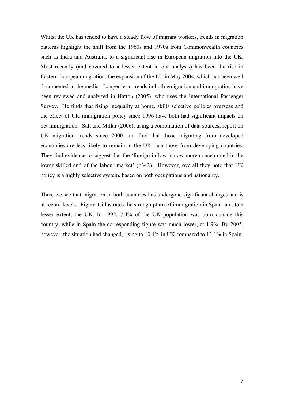Whilst the UK has tended to have a steady flow of migrant workers, trends in migration patterns highlight the shift from the 1960s and 1970s from Commonwealth countries such as India and Australia, to a significant rise in European migration into the UK. Most recently (and covered to a lesser extent in our analysis) has been the rise in Eastern European migration, the expansion of the EU in May 2004, which has been well documented in the media. Longer term trends in both emigration and immigration have been reviewed and analyzed in Hatton (2005), who uses the International Passenger Survey. He finds that rising inequality at home, skills selective policies overseas and the effect of UK immigration policy since 1996 have both had significant impacts on net immigration. Salt and Millar (2006), using a combination of data sources, report on UK migration trends since 2000 and find that those migrating from developed economies are less likely to remain in the UK than those from developing countries. They find evidence to suggest that the 'foreign inflow is now more concentrated in the lower skilled end of the labour market' (p342). However, overall they note that UK policy is a highly selective system, based on both occupations and nationality.

Thus, we see that migration in both countries has undergone significant changes and is at record levels. Figure 1 illustrates the strong upturn of immigration in Spain and, to a lesser extent, the UK. In 1992, 7.4% of the UK population was born outside this country, while in Spain the corresponding figure was much lower, at 1.9%. By 2005, however, the situation had changed, rising to 10.1% in UK compared to 13.1% in Spain.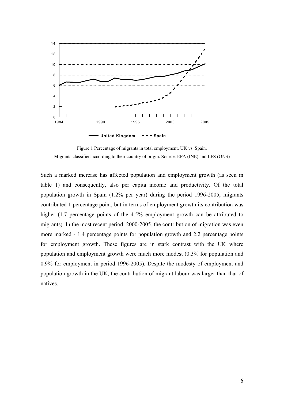

Figure 1 Percentage of migrants in total employment. UK vs. Spain. Migrants classified according to their country of origin. Source: EPA (INE) and LFS (ONS)

Such a marked increase has affected population and employment growth (as seen in table 1) and consequently, also per capita income and productivity. Of the total population growth in Spain (1.2% per year) during the period 1996-2005, migrants contributed 1 percentage point, but in terms of employment growth its contribution was higher (1.7 percentage points of the 4.5% employment growth can be attributed to migrants). In the most recent period, 2000-2005, the contribution of migration was even more marked - 1.4 percentage points for population growth and 2.2 percentage points for employment growth. These figures are in stark contrast with the UK where population and employment growth were much more modest (0.3% for population and 0.9% for employment in period 1996-2005). Despite the modesty of employment and population growth in the UK, the contribution of migrant labour was larger than that of natives.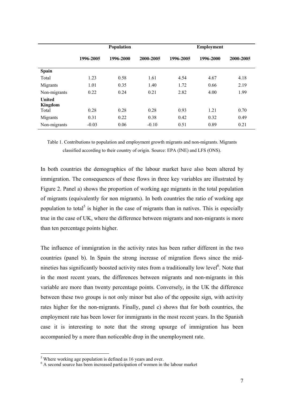|                                          | Population |           |           | <b>Employment</b> |           |           |  |
|------------------------------------------|------------|-----------|-----------|-------------------|-----------|-----------|--|
|                                          | 1996-2005  | 1996-2000 | 2000-2005 | 1996-2005         | 1996-2000 | 2000-2005 |  |
| <b>Spain</b>                             |            |           |           |                   |           |           |  |
| Total                                    | 1.23       | 0.58      | 1.61      | 4.54              | 4.67      | 4.18      |  |
| Migrants                                 | 1.01       | 0.35      | 1.40      | 1.72              | 0.66      | 2.19      |  |
| Non-migrants                             | 0.22       | 0.24      | 0.21      | 2.82              | 4.00      | 1.99      |  |
| <b>United</b><br><b>Kingdom</b><br>Total | 0.28       | 0.28      | 0.28      | 0.93              | 1.21      | 0.70      |  |
| Migrants                                 | 0.31       | 0.22      | 0.38      | 0.42              | 0.32      | 0.49      |  |
| Non-migrants                             | $-0.03$    | 0.06      | $-0.10$   | 0.51              | 0.89      | 0.21      |  |

Table 1. Contributions to population and employment growth migrants and non-migrants. Migrants classified according to their country of origin. Source: EPA (INE) and LFS (ONS).

In both countries the demographics of the labour market have also been altered by immigration. The consequences of these flows in three key variables are illustrated by Figure 2. Panel a) shows the proportion of working age migrants in the total population of migrants (equivalently for non migrants). In both countries the ratio of working age population to total<sup>5</sup> is higher in the case of migrants than in natives. This is especially true in the case of UK, where the difference between migrants and non-migrants is more than ten percentage points higher.

The influence of immigration in the activity rates has been rather different in the two countries (panel b). In Spain the strong increase of migration flows since the midnineties has significantly boosted activity rates from a traditionally low level<sup>6</sup>. Note that in the most recent years, the differences between migrants and non-migrants in this variable are more than twenty percentage points. Conversely, in the UK the difference between these two groups is not only minor but also of the opposite sign, with activity rates higher for the non-migrants. Finally, panel c) shows that for both countries, the employment rate has been lower for immigrants in the most recent years. In the Spanish case it is interesting to note that the strong upsurge of immigration has been accompanied by a more than noticeable drop in the unemployment rate.

<u>.</u>

<sup>&</sup>lt;sup>5</sup> Where working age population is defined as 16 years and over.

<sup>&</sup>lt;sup>6</sup> A second source has been increased participation of women in the labour market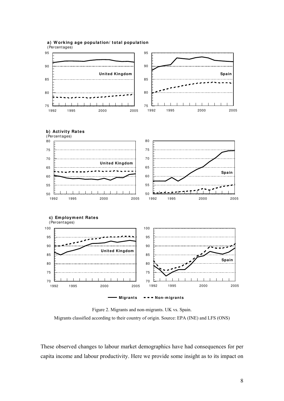

**a) W orking age population/ total population**

Figure 2. Migrants and non-migrants. UK vs. Spain. Migrants classified according to their country of origin. Source: EPA (INE) and LFS (ONS)

These observed changes to labour market demographics have had consequences for per capita income and labour productivity. Here we provide some insight as to its impact on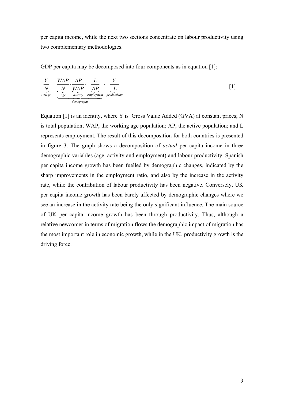per capita income, while the next two sections concentrate on labour productivity using two complementary methodologies.

GDP per capita may be decomposed into four components as in equation [1]:

$$
\frac{Y}{\underbrace{N}_{GDPpc}} = \underbrace{\frac{WAP}{N}}_{\underbrace{\text{age}}_{\text{activity}}}\cdot \underbrace{\frac{L}{AP}}_{\text{employment}}\cdot \underbrace{\frac{Y}{L}}_{\text{production}} \qquad [1]
$$

Equation [1] is an identity, where Y is Gross Value Added (GVA) at constant prices; N is total population; WAP, the working age population; AP, the active population; and L represents employment. The result of this decomposition for both countries is presented in figure 3. The graph shows a decomposition of *actual* per capita income in three demographic variables (age, activity and employment) and labour productivity. Spanish per capita income growth has been fuelled by demographic changes, indicated by the sharp improvements in the employment ratio, and also by the increase in the activity rate, while the contribution of labour productivity has been negative. Conversely, UK per capita income growth has been barely affected by demographic changes where we see an increase in the activity rate being the only significant influence. The main source of UK per capita income growth has been through productivity. Thus, although a relative newcomer in terms of migration flows the demographic impact of migration has the most important role in economic growth, while in the UK, productivity growth is the driving force.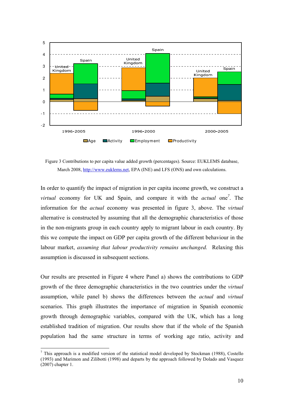

Figure 3 Contributions to per capita value added growth (percentages). Source: EUKLEMS database, March 2008, http://www.euklems.net, EPA (INE) and LFS (ONS) and own calculations.

In order to quantify the impact of migration in per capita income growth, we construct a *virtual* economy for UK and Spain, and compare it with the *actual* one*<sup>7</sup>* . The information for the *actual* economy was presented in figure 3, above. The *virtual* alternative is constructed by assuming that all the demographic characteristics of those in the non-migrants group in each country apply to migrant labour in each country. By this we compute the impact on GDP per capita growth of the different behaviour in the labour market, *assuming that labour productivity remains unchanged.* Relaxing this assumption is discussed in subsequent sections.

Our results are presented in Figure 4 where Panel a) shows the contributions to GDP growth of the three demographic characteristics in the two countries under the *virtual* assumption, while panel b) shows the differences between the *actual* and *virtual*  scenarios. This graph illustrates the importance of migration in Spanish economic growth through demographic variables, compared with the UK, which has a long established tradition of migration. Our results show that if the whole of the Spanish population had the same structure in terms of working age ratio, activity and

<u>.</u>

 $<sup>7</sup>$  This approach is a modified version of the statistical model developed by Stockman (1988), Costello</sup> (1993) and Marimon and Zilibotti (1998) and departs by the approach followed by Dolado and Vasquez (2007) chapter 1.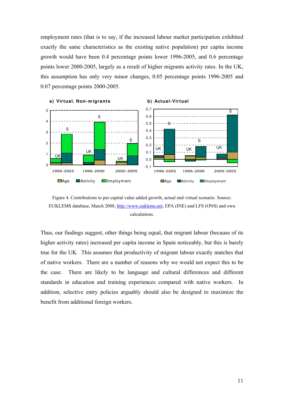employment rates (that is to say, if the increased labour market participation exhibited exactly the same characteristics as the existing native population) per capita income growth would have been 0.4 percentage points lower 1996-2005, and 0.6 percentage points lower 2000-2005, largely as a result of higher migrants activity rates. In the UK, this assumption has only very minor changes, 0.05 percentage points 1996-2005 and 0.07 percentage points 2000-2005.



Figure 4. Contributions to per capital value added growth, actual and virtual scenario. Source: EUKLEMS database, March 2008, http://www.euklems.net, EPA (INE) and LFS (ONS) and own calculations.

Thus, our findings suggest, other things being equal, that migrant labour (because of its higher activity rates) increased per capita income in Spain noticeably, but this is barely true for the UK. This assumes that productivity of migrant labour exactly matches that of native workers. There are a number of reasons why we would not expect this to be the case. There are likely to be language and cultural differences and different standards in education and training experiences compared with native workers. In addition, selective entry policies arguably should also be designed to maximize the benefit from additional foreign workers.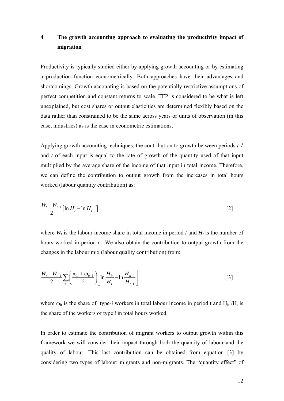### **4 The growth accounting approach to evaluating the productivity impact of migration**

Productivity is typically studied either by applying growth accounting or by estimating a production function econometrically. Both approaches have their advantages and shortcomings. Growth accounting is based on the potentially restrictive assumptions of perfect competition and constant returns to scale. TFP is considered to be what is left unexplained, but cost shares or output elasticities are determined flexibly based on the data rather than constrained to be the same across years or units of observation (in this case, industries) as is the case in econometric estimations.

Applying growth accounting techniques, the contribution to growth between periods *t-1* and *t* of each input is equal to the rate of growth of the quantity used of that input multiplied by the average share of the income of that input in total income. Therefore, we can define the contribution to output growth from the increases in total hours worked (labour quantity contribution) as:

$$
\frac{W_{t} + W_{t-1}}{2} \left[ \ln H_{t} - \ln H_{t-1} \right]
$$
 [2]

where  $W_t$  is the labour income share in total income in period *t* and  $H_t$  is the number of hours worked in period *t*. We also obtain the contribution to output growth from the changes in the labour mix (labour quality contribution) from:

$$
\frac{W_{t} + W_{t-1}}{2} \sum_{i} \left( \frac{\omega_{it} + \omega_{it-1}}{2} \right) \left[ \ln \frac{H_{it}}{H_{t}} - \ln \frac{H_{it-1}}{H_{t-1}} \right]
$$
 [3]

where  $\omega_{it}$  is the share of type-*i* workers in total labour income in period t and  $H_{it}$  /H<sub>t</sub> is the share of the workers of type *i* in total hours worked.

In order to estimate the contribution of migrant workers to output growth within this framework we will consider their impact through both the quantity of labour and the quality of labour. This last contribution can be obtained from equation [3] by considering two types of labour: migrants and non-migrants. The "quantity effect" of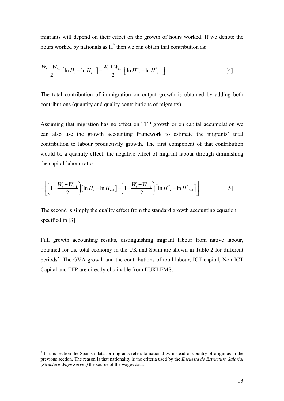migrants will depend on their effect on the growth of hours worked. If we denote the hours worked by nationals as  $H^*$  then we can obtain that contribution as:

$$
\frac{W_{t} + W_{t-1}}{2} \Big[ \ln H_{t} - \ln H_{t-1} \Big] - \frac{W_{t} + W_{t-1}}{2} \Big[ \ln H^{*}{}_{t} - \ln H^{*}{}_{t-1} \Big] \tag{4}
$$

The total contribution of immigration on output growth is obtained by adding both contributions (quantity and quality contributions of migrants).

Assuming that migration has no effect on TFP growth or on capital accumulation we can also use the growth accounting framework to estimate the migrants' total contribution to labour productivity growth. The first component of that contribution would be a quantity effect: the negative effect of migrant labour through diminishing the capital-labour ratio:

$$
-\left[\left(1-\frac{W_t+W_{t-1}}{2}\right)[\ln H_t - \ln H_{t-1}\right] - \left(1-\frac{W_t+W_{t-1}}{2}\right)[\ln H^*_{t} - \ln H^*_{t-1}\right]\right]
$$
 [5]

The second is simply the quality effect from the standard growth accounting equation specified in [3]

Full growth accounting results, distinguishing migrant labour from native labour, obtained for the total economy in the UK and Spain are shown in Table 2 for different periods<sup>8</sup>. The GVA growth and the contributions of total labour, ICT capital, Non-ICT Capital and TFP are directly obtainable from EUKLEMS.

<u>.</u>

<sup>&</sup>lt;sup>8</sup> In this section the Spanish data for migrants refers to nationality, instead of country of origin as in the previous section. The reason is that nationality is the criteria used by the *Encuesta de Estructura Salarial* (*Structure Wage Survey)* the source of the wages data.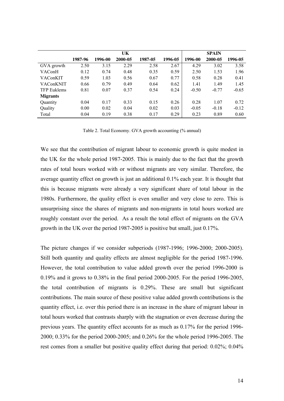|                    | UK      |         |         |         |         | <b>SPAIN</b> |         |         |
|--------------------|---------|---------|---------|---------|---------|--------------|---------|---------|
|                    | 1987-96 | 1996-00 | 2000-05 | 1987-05 | 1996-05 | 1996-00      | 2000-05 | 1996-05 |
| GVA growth         | 2.50    | 3.15    | 2.29    | 2.58    | 2.67    | 4.29         | 3.02    | 3.58    |
| VAConH             | 0.12    | 0.74    | 0.48    | 0.35    | 0.59    | 2.50         | 1.53    | 1.96    |
| VAConKIT           | 0.59    | 1.03    | 0.56    | 0.67    | 0.77    | 0.58         | 0.28    | 0.41    |
| VAConKNIT          | 0.66    | 0.79    | 0.49    | 0.64    | 0.62    | 1.41         | 1.49    | 1.45    |
| <b>TFP Euklems</b> | 0.81    | 0.07    | 0.37    | 0.54    | 0.24    | $-0.50$      | $-0.77$ | $-0.65$ |
| <b>Migrants</b>    |         |         |         |         |         |              |         |         |
| Quantity           | 0.04    | 0.17    | 0.33    | 0.15    | 0.26    | 0.28         | 1.07    | 0.72    |
| Quality            | 0.00    | 0.02    | 0.04    | 0.02    | 0.03    | $-0.05$      | $-0.18$ | $-0.12$ |
| Total              | 0.04    | 0.19    | 0.38    | 0.17    | 0.29    | 0.23         | 0.89    | 0.60    |

Table 2. Total Economy. GVA growth accounting (% annual)

We see that the contribution of migrant labour to economic growth is quite modest in the UK for the whole period 1987-2005. This is mainly due to the fact that the growth rates of total hours worked with or without migrants are very similar. Therefore, the average quantity effect on growth is just an additional 0.1% each year. It is thought that this is because migrants were already a very significant share of total labour in the 1980s. Furthermore, the quality effect is even smaller and very close to zero. This is unsurprising since the shares of migrants and non-migrants in total hours worked are roughly constant over the period. As a result the total effect of migrants on the GVA growth in the UK over the period 1987-2005 is positive but small, just 0.17%.

The picture changes if we consider subperiods (1987-1996; 1996-2000; 2000-2005). Still both quantity and quality effects are almost negligible for the period 1987-1996. However, the total contribution to value added growth over the period 1996-2000 is 0.19% and it grows to 0.38% in the final period 2000-2005. For the period 1996-2005, the total contribution of migrants is 0.29%. These are small but significant contributions. The main source of these positive value added growth contributions is the quantity effect, i.e. over this period there is an increase in the share of migrant labour in total hours worked that contrasts sharply with the stagnation or even decrease during the previous years. The quantity effect accounts for as much as 0.17% for the period 1996- 2000; 0.33% for the period 2000-2005; and 0.26% for the whole period 1996-2005. The rest comes from a smaller but positive quality effect during that period: 0.02%; 0.04%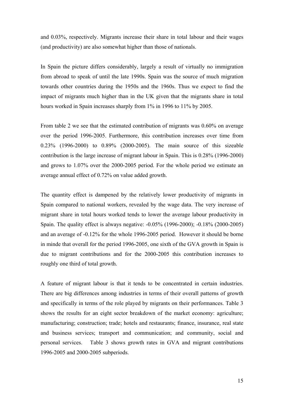and 0.03%, respectively. Migrants increase their share in total labour and their wages (and productivity) are also somewhat higher than those of nationals.

In Spain the picture differs considerably, largely a result of virtually no immigration from abroad to speak of until the late 1990s. Spain was the source of much migration towards other countries during the 1950s and the 1960s. Thus we expect to find the impact of migrants much higher than in the UK given that the migrants share in total hours worked in Spain increases sharply from 1% in 1996 to 11% by 2005.

From table 2 we see that the estimated contribution of migrants was 0.60% on average over the period 1996-2005. Furthermore, this contribution increases over time from 0.23% (1996-2000) to 0.89% (2000-2005). The main source of this sizeable contribution is the large increase of migrant labour in Spain. This is 0.28% (1996-2000) and grows to 1.07% over the 2000-2005 period. For the whole period we estimate an average annual effect of 0.72% on value added growth.

The quantity effect is dampened by the relatively lower productivity of migrants in Spain compared to national workers, revealed by the wage data. The very increase of migrant share in total hours worked tends to lower the average labour productivity in Spain. The quality effect is always negative: -0.05% (1996-2000); -0.18% (2000-2005) and an average of -0.12% for the whole 1996-2005 period. However it should be borne in minde that overall for the period 1996-2005, one sixth of the GVA growth in Spain is due to migrant contributions and for the 2000-2005 this contribution increases to roughly one third of total growth.

A feature of migrant labour is that it tends to be concentrated in certain industries. There are big differences among industries in terms of their overall patterns of growth and specifically in terms of the role played by migrants on their performances. Table 3 shows the results for an eight sector breakdown of the market economy: agriculture; manufacturing; construction; trade; hotels and restaurants; finance, insurance, real state and business services; transport and communication; and community, social and personal services. Table 3 shows growth rates in GVA and migrant contributions 1996-2005 and 2000-2005 subperiods.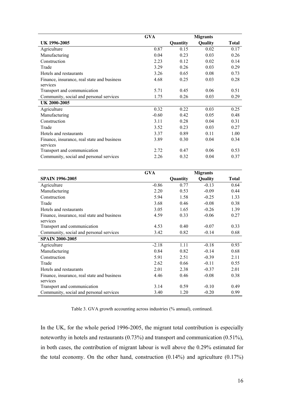|                                             | <b>GVA</b> |          | <b>Migrants</b> |              |
|---------------------------------------------|------------|----------|-----------------|--------------|
| UK 1996-2005                                |            | Quantity | Quality         | <b>Total</b> |
| Agriculture                                 | 0.87       | 0.15     | 0.02            | 0.17         |
| Manufacturing                               | 0.04       | 0.23     | 0.03            | 0.26         |
| Construction                                | 2.23       | 0.12     | 0.02            | 0.14         |
| Trade                                       | 3.29       | 0.26     | 0.03            | 0.29         |
| Hotels and restaurants                      | 3.26       | 0.65     | 0.08            | 0.73         |
| Finance, insurance, real state and business | 4.68       | 0.25     | 0.03            | 0.28         |
| services                                    |            |          |                 |              |
| Transport and communication                 | 5.71       | 0.45     | 0.06            | 0.51         |
| Community, social and personal services     | 1.75       | 0.26     | 0.03            | 0.29         |
| UK 2000-2005                                |            |          |                 |              |
| Agriculture                                 | 0.32       | 0.22     | 0.03            | 0.25         |
| Manufacturing                               | $-0.60$    | 0.42     | 0.05            | 0.48         |
| Construction                                | 3.11       | 0.28     | 0.04            | 0.31         |
| Trade                                       | 3.52       | 0.23     | 0.03            | 0.27         |
| Hotels and restaurants                      | 3.37       | 0.89     | 0.11            | 1.00         |
| Finance, insurance, real state and business | 3.89       | 0.30     | 0.04            | 0.34         |
| services                                    |            |          |                 |              |
| Transport and communication                 | 2.72       | 0.47     | 0.06            | 0.53         |
| Community, social and personal services     | 2.26       | 0.32     | 0.04            | 0.37         |

|                                             | <b>GVA</b> |          | <b>Migrants</b> |              |
|---------------------------------------------|------------|----------|-----------------|--------------|
| <b>SPAIN 1996-2005</b>                      |            | Quantity | Quality         | <b>Total</b> |
| Agriculture                                 | $-0.86$    | 0.77     | $-0.13$         | 0.64         |
| Manufacturing                               | 2.20       | 0.53     | $-0.09$         | 0.44         |
| Construction                                | 5.94       | 1.58     | $-0.25$         | 1.33         |
| Trade                                       | 3.68       | 0.46     | $-0.08$         | 0.38         |
| Hotels and restaurants                      | 3.05       | 1.65     | $-0.26$         | 1.39         |
| Finance, insurance, real state and business | 4.59       | 0.33     | $-0.06$         | 0.27         |
| services                                    |            |          |                 |              |
| Transport and communication                 | 4.53       | 0.40     | $-0.07$         | 0.33         |
| Community, social and personal services     | 3.42       | 0.82     | $-0.14$         | 0.68         |
| <b>SPAIN 2000-2005</b>                      |            |          |                 |              |
| Agriculture                                 | $-2.18$    | 1.11     | $-0.18$         | 0.93         |
| Manufacturing                               | 0.84       | 0.82     | $-0.14$         | 0.68         |
| Construction                                | 5.91       | 2.51     | $-0.39$         | 2.11         |
| Trade                                       | 2.62       | 0.66     | $-0.11$         | 0.55         |
| Hotels and restaurants                      | 2.01       | 2.38     | $-0.37$         | 2.01         |
| Finance, insurance, real state and business | 4.46       | 0.46     | $-0.08$         | 0.38         |
| services                                    |            |          |                 |              |
| Transport and communication                 | 3.14       | 0.59     | $-0.10$         | 0.49         |
| Community, social and personal services     | 3.40       | 1.20     | $-0.20$         | 0.99         |

Table 3. GVA growth accounting across industries (% annual), continued.

In the UK, for the whole period 1996-2005, the migrant total contribution is especially noteworthy in hotels and restaurants (0.73%) and transport and communication (0.51%), in both cases, the contribution of migrant labour is well above the 0.29% estimated for the total economy. On the other hand, construction  $(0.14\%)$  and agriculture  $(0.17\%)$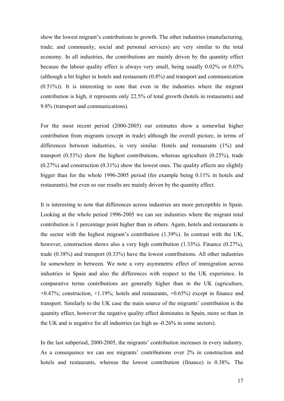show the lowest migrant's contributions to growth. The other industries (manufacturing, trade; and community, social and personal services) are very similar to the total economy. In all industries, the contributions are mainly driven by the quantity effect because the labour quality effect is always very small, being usually 0.02% or 0.03% (although a bit higher in hotels and restaurants (0.8%) and transport and communication (0.51%)). It is interesting to note that even in the industries where the migrant contribution is high, it represents only 22.5% of total growth (hotels in restaurants) and 9.8% (transport and communications).

For the most recent period (2000-2005) our estimates show a somewhat higher contribution from migrants (except in trade) although the overall picture, in terms of differences between industries, is very similar. Hotels and restaurants (1%) and transport (0.53%) show the highest contributions, whereas agriculture (0.25%), trade  $(0.27%)$  and construction  $(0.31%)$  show the lowest ones. The quality effects are slightly bigger than for the whole 1996-2005 period (for example being 0.11% in hotels and restaurants), but even so our results are mainly driven by the quantity effect.

It is interesting to note that differences across industries are more perceptible in Spain. Looking at the whole period 1996-2005 we can see industries where the migrant total contribution is 1 percentage point higher than in others. Again, hotels and restaurants is the sector with the highest migrant's contribution (1.39%). In contrast with the UK, however, construction shows also a very high contribution (1.33%). Finance (0.27%), trade (0.38%) and transport (0.33%) have the lowest contributions. All other industries lie somewhere in between. We note a very asymmetric effect of immigration across industries in Spain and also the differences with respect to the UK experience. In comparative terms contributions are generally higher than in the UK (agriculture,  $+0.47\%$ ; construction,  $+1.19\%$ ; hotels and restaurants,  $+0.65\%$ ) except in finance and transport. Similarly to the UK case the main source of the migrants' contribution is the quantity effect, however the negative quality effect dominates in Spain, more so than in the UK and is negative for all industries (as high as -0.26% in some sectors).

In the last subperiod, 2000-2005, the migrants' contribution increases in every industry. As a consequence we can see migrants' contributions over 2% in construction and hotels and restaurants, whereas the lowest contribution (finance) is 0.38%. The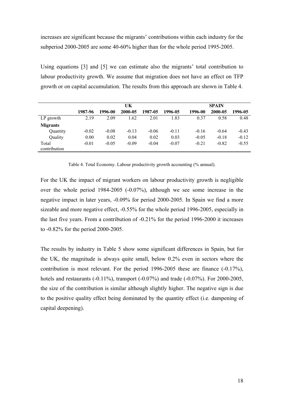increases are significant because the migrants' contributions within each industry for the subperiod 2000-2005 are some 40-60% higher than for the whole period 1995-2005.

Using equations [3] and [5] we can estimate also the migrants' total contribution to labour productivity growth. We assume that migration does not have an effect on TFP growth or on capital accumulation. The results from this approach are shown in Table 4.

|                       |         | UK      |         |         |         | <b>SPAIN</b> |         |         |  |
|-----------------------|---------|---------|---------|---------|---------|--------------|---------|---------|--|
|                       | 1987-96 | 1996-00 | 2000-05 | 1987-05 | 1996-05 | 1996-00      | 2000-05 | 1996-05 |  |
| LP growth             | 2.19    | 2.09    | 1.62    | 2.01    | 1.83    | 0.37         | 0.58    | 0.48    |  |
| <b>Migrants</b>       |         |         |         |         |         |              |         |         |  |
| Quantity              | $-0.02$ | $-0.08$ | $-0.13$ | $-0.06$ | $-0.11$ | $-0.16$      | $-0.64$ | $-0.43$ |  |
| Quality               | 0.00    | 0.02    | 0.04    | 0.02    | 0.03    | $-0.05$      | $-0.18$ | $-0.12$ |  |
| Total<br>contribution | $-0.01$ | $-0.05$ | $-0.09$ | $-0.04$ | $-0.07$ | $-0.21$      | $-0.82$ | $-0.55$ |  |

Table 4. Total Economy. Labour productivity growth accounting (% annual).

For the UK the impact of migrant workers on labour productivity growth is negligible over the whole period 1984-2005 (-0.07%), although we see some increase in the negative impact in later years, -0.09% for period 2000-2005. In Spain we find a more sizeable and more negative effect, -0.55% for the whole period 1996-2005, especially in the last five years. From a contribution of -0.21% for the period 1996-2000 it increases to -0.82% for the period 2000-2005.

The results by industry in Table 5 show some significant differences in Spain, but for the UK, the magnitude is always quite small, below 0.2% even in sectors where the contribution is most relevant. For the period 1996-2005 these are finance (-0.17%), hotels and restaurants (-0.11%), transport (-0.07%) and trade (-0.07%). For 2000-2005, the size of the contribution is similar although slightly higher. The negative sign is due to the positive quality effect being dominated by the quantity effect (i.e. dampening of capital deepening).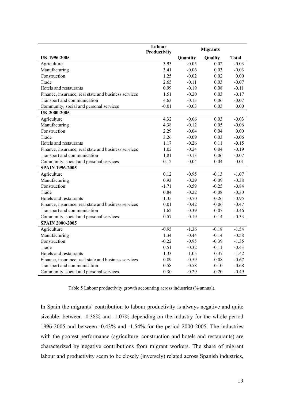|                                                      | Labour<br>Productivity |          | <b>Migrants</b> |              |
|------------------------------------------------------|------------------------|----------|-----------------|--------------|
| UK 1996-2005                                         |                        | Quantity | Quality         | <b>Total</b> |
| Agriculture                                          | 3.93                   | $-0.05$  | 0.02            | $-0.03$      |
| Manufacturing                                        | 3.41                   | $-0.06$  | 0.03            | $-0.03$      |
| Construction                                         | 1.25                   | $-0.02$  | 0.02            | 0.00         |
| Trade                                                | 2.65                   | $-0.11$  | 0.03            | $-0.07$      |
| Hotels and restaurants                               | 0.99                   | $-0.19$  | 0.08            | $-0.11$      |
| Finance, insurance, real state and business services | 1.51                   | $-0.20$  | 0.03            | $-0.17$      |
| Transport and communication                          | 4.63                   | $-0.13$  | 0.06            | $-0.07$      |
| Community, social and personal services              | $-0.01$                | $-0.03$  | 0.03            | 0.00         |
| UK 2000-2005                                         |                        |          |                 |              |
| Agriculture                                          | 4.32                   | $-0.06$  | 0.03            | $-0.03$      |
| Manufacturing                                        | 4.38                   | $-0.12$  | 0.05            | $-0.06$      |
| Construction                                         | 2.29                   | $-0.04$  | 0.04            | 0.00         |
| Trade                                                | 3.26                   | $-0.09$  | 0.03            | $-0.06$      |
| Hotels and restaurants                               | 1.17                   | $-0.26$  | 0.11            | $-0.15$      |
| Finance, insurance, real state and business services | 1.02                   | $-0.24$  | 0.04            | $-0.19$      |
| Transport and communication                          | 1.81                   | $-0.13$  | 0.06            | $-0.07$      |
| Community, social and personal services              | $-0.12$                | $-0.04$  | 0.04            | 0.01         |
| <b>SPAIN 1996-2005</b>                               |                        |          |                 |              |
| Agriculture                                          | 0.12                   | $-0.95$  | $-0.13$         | $-1.07$      |
| Manufacturing                                        | 0.93                   | $-0.29$  | $-0.09$         | $-0.38$      |
| Construction                                         | $-1.71$                | $-0.59$  | $-0.25$         | $-0.84$      |
| Trade                                                | 0.84                   | $-0.22$  | $-0.08$         | $-0.30$      |
| Hotels and restaurants                               | $-1.35$                | $-0.70$  | $-0.26$         | $-0.95$      |
| Finance, insurance, real state and business services | 0.01                   | $-0.42$  | $-0.06$         | $-0.47$      |
| Transport and communication                          | 1.62                   | $-0.39$  | $-0.07$         | $-0.46$      |
| Community, social and personal services              | 0.57                   | $-0.19$  | $-0.14$         | $-0.33$      |
| <b>SPAIN 2000-2005</b>                               |                        |          |                 |              |
| Agriculture                                          | $-0.95$                | $-1.36$  | $-0.18$         | $-1.54$      |
| Manufacturing                                        | 1.34                   | $-0.44$  | $-0.14$         | $-0.58$      |
| Construction                                         | $-0.22$                | $-0.95$  | $-0.39$         | $-1.35$      |
| Trade                                                | 0.51                   | $-0.32$  | $-0.11$         | $-0.43$      |
| Hotels and restaurants                               | $-1.33$                | $-1.05$  | $-0.37$         | $-1.42$      |
| Finance, insurance, real state and business services | 0.89                   | $-0.59$  | $-0.08$         | $-0.67$      |
| Transport and communication                          | 0.58                   | $-0.58$  | $-0.10$         | $-0.68$      |
| Community, social and personal services              | 0.30                   | $-0.29$  | $-0.20$         | $-0.49$      |

Table 5 Labour productivity growth accounting across industries (% annual).

In Spain the migrants' contribution to labour productivity is always negative and quite sizeable: between -0.38% and -1.07% depending on the industry for the whole period 1996-2005 and between -0.43% and -1.54% for the period 2000-2005. The industries with the poorest performance (agriculture, construction and hotels and restaurants) are characterized by negative contributions from migrant workers. The share of migrant labour and productivity seem to be closely (inversely) related across Spanish industries,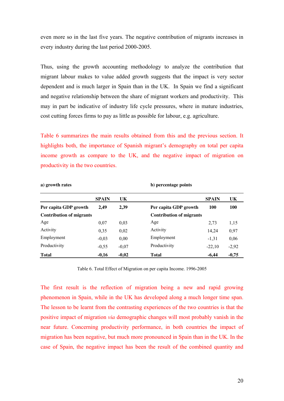even more so in the last five years. The negative contribution of migrants increases in every industry during the last period 2000-2005.

Thus, using the growth accounting methodology to analyze the contribution that migrant labour makes to value added growth suggests that the impact is very sector dependent and is much larger in Spain than in the UK. In Spain we find a significant and negative relationship between the share of migrant workers and productivity. This may in part be indicative of industry life cycle pressures, where in mature industries, cost cutting forces firms to pay as little as possible for labour, e.g. agriculture.

Table 6 summarizes the main results obtained from this and the previous section. It highlights both, the importance of Spanish migrant's demography on total per capita income growth as compare to the UK, and the negative impact of migration on productivity in the two countries.

| a) growth rates                 |              |         | b) percentage points            |              |            |  |  |
|---------------------------------|--------------|---------|---------------------------------|--------------|------------|--|--|
|                                 | <b>SPAIN</b> | UK      |                                 | <b>SPAIN</b> | <b>UK</b>  |  |  |
| Per capita GDP growth           | 2,49         | 2,39    | Per capita GDP growth           | <b>100</b>   | <b>100</b> |  |  |
| <b>Contribution of migrants</b> |              |         | <b>Contribution of migrants</b> |              |            |  |  |
| Age                             | 0,07         | 0,03    | Age                             | 2,73         | 1,15       |  |  |
| Activity                        | 0,35         | 0,02    | Activity                        | 14,24        | 0,97       |  |  |
| Employment                      | $-0,03$      | 0,00    | Employment                      | $-1,31$      | 0,06       |  |  |
| Productivity                    | $-0.55$      | $-0,07$ | Productivity                    | $-22,10$     | $-2,92$    |  |  |
| <b>Total</b>                    | $-0,16$      | $-0,02$ | <b>Total</b>                    | $-6,44$      | $-0,75$    |  |  |

Table 6. Total Effect of Migration on per capita Income. 1996-2005

The first result is the reflection of migration being a new and rapid growing phenomenon in Spain, while in the UK has developed along a much longer time span. The lesson to be learnt from the contrasting experiences of the two countries is that the positive impact of migration *via* demographic changes will most probably vanish in the near future. Concerning productivity performance, in both countries the impact of migration has been negative, but much more pronounced in Spain than in the UK. In the case of Spain, the negative impact has been the result of the combined quantity and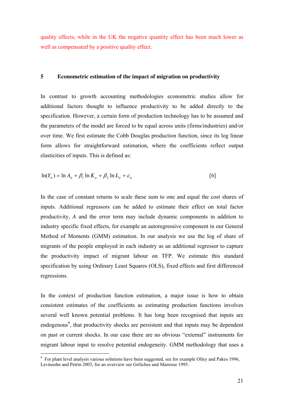quality effects, while in the UK the negative quantity effect has been much lower as well as compensated by a positive quality effect.

#### **5 Econometric estimation of the impact of migration on productivity**

In contrast to growth accounting methodologies econometric studies allow for additional factors thought to influence productivity to be added directly to the specification. However, a certain form of production technology has to be assumed and the parameters of the model are forced to be equal across units (firms/industries) and/or over time. We first estimate the Cobb Douglas production function, since its log linear form allows for straightforward estimation, where the coefficients reflect output elasticities of inputs. This is defined as:

$$
\ln(Y_{it}) = \ln A_{it} + \beta_1 \ln K_{it} + \beta_2 \ln L_{it} + \varepsilon_{it}
$$
\n
$$
\tag{6}
$$

In the case of constant returns to scale these sum to one and equal the cost shares of inputs. Additional regressors can be added to estimate their effect on total factor productivity, *A* and the error term may include dynamic components in addition to industry specific fixed effects, for example an autoregressive component in our General Method of Moments (GMM) estimation. In our analysis we use the log of share of migrants of the people employed in each industry as an additional regressor to capture the productivity impact of migrant labour on TFP. We estimate this standard specification by using Ordinary Least Squares (OLS), fixed effects and first differenced regressions.

In the context of production function estimation, a major issue is how to obtain consistent estimates of the coefficients as estimating production functions involves several well known potential problems. It has long been recognised that inputs are endogenous<sup>9</sup>, that productivity shocks are persistent and that inputs may be dependent on past or current shocks. In our case there are no obvious "external" instruments for migrant labour input to resolve potential endogeneity. GMM methodology that uses a

<u>.</u>

<sup>&</sup>lt;sup>9</sup> For plant level analysis various solutions have been suggested, see for example Olley and Pakes 1996, Levinsohn and Petrin 2003, for an overview see Griliches and Mairesse 1995.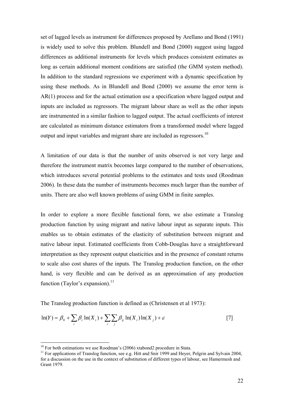set of lagged levels as instrument for differences proposed by Arellano and Bond (1991) is widely used to solve this problem. Blundell and Bond (2000) suggest using lagged differences as additional instruments for levels which produces consistent estimates as long as certain additional moment conditions are satisfied (the GMM system method). In addition to the standard regressions we experiment with a dynamic specification by using these methods. As in Blundell and Bond (2000) we assume the error term is AR(1) process and for the actual estimation use a specification where lagged output and inputs are included as regressors. The migrant labour share as well as the other inputs are instrumented in a similar fashion to lagged output. The actual coefficients of interest are calculated as minimum distance estimators from a transformed model where lagged output and input variables and migrant share are included as regressors.<sup>10</sup>

A limitation of our data is that the number of units observed is not very large and therefore the instrument matrix becomes large compared to the number of observations, which introduces several potential problems to the estimates and tests used (Roodman 2006). In these data the number of instruments becomes much larger than the number of units. There are also well known problems of using GMM in finite samples.

In order to explore a more flexible functional form, we also estimate a Translog production function by using migrant and native labour input as separate inputs. This enables us to obtain estimates of the elasticity of substitution between migrant and native labour input. Estimated coefficients from Cobb-Douglas have a straightforward interpretation as they represent output elasticities and in the presence of constant returns to scale also cost shares of the inputs. The Translog production function, on the other hand, is very flexible and can be derived as an approximation of any production function (Taylor's expansion). $^{11}$ 

The Translog production function is defined as (Christensen et al 1973):

$$
\ln(Y) = \beta_0 + \sum_i \beta_i \ln(X_i) + \sum_i \sum_j \beta_{ij} \ln(X_i) \ln(X_j) + \varepsilon
$$
 [7]

-

 $10$  For both estimations we use Roodman's (2006) xtabond2 procedure in Stata.

<sup>&</sup>lt;sup>11</sup> For applications of Translog function, see e.g. Hitt and Snir 1999 and Heyer, Pelgrin and Sylvain 2004, for a discussion on the use in the context of substitution of different types of labour, see Hamermesh and Grant 1979.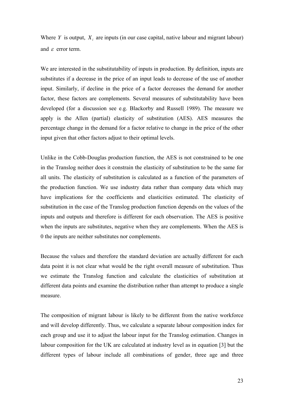Where *Y* is output,  $X_i$  are inputs (in our case capital, native labour and migrant labour) and  $\varepsilon$  error term.

We are interested in the substitutability of inputs in production. By definition, inputs are substitutes if a decrease in the price of an input leads to decrease of the use of another input. Similarly, if decline in the price of a factor decreases the demand for another factor, these factors are complements. Several measures of substitutability have been developed (for a discussion see e.g. Blackorby and Russell 1989). The measure we apply is the Allen (partial) elasticity of substitution (AES). AES measures the percentage change in the demand for a factor relative to change in the price of the other input given that other factors adjust to their optimal levels.

Unlike in the Cobb-Douglas production function, the AES is not constrained to be one in the Translog neither does it constrain the elasticity of substitution to be the same for all units. The elasticity of substitution is calculated as a function of the parameters of the production function. We use industry data rather than company data which may have implications for the coefficients and elasticities estimated. The elasticity of substitution in the case of the Translog production function depends on the values of the inputs and outputs and therefore is different for each observation. The AES is positive when the inputs are substitutes, negative when they are complements. When the AES is 0 the inputs are neither substitutes nor complements.

Because the values and therefore the standard deviation are actually different for each data point it is not clear what would be the right overall measure of substitution. Thus we estimate the Translog function and calculate the elasticities of substitution at different data points and examine the distribution rather than attempt to produce a single measure.

The composition of migrant labour is likely to be different from the native workforce and will develop differently. Thus, we calculate a separate labour composition index for each group and use it to adjust the labour input for the Translog estimation. Changes in labour composition for the UK are calculated at industry level as in equation [3] but the different types of labour include all combinations of gender, three age and three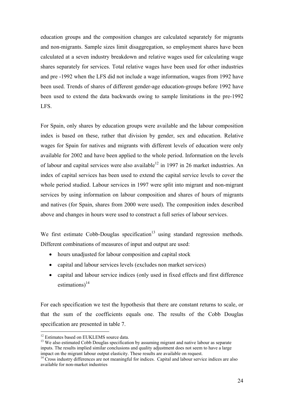education groups and the composition changes are calculated separately for migrants and non-migrants. Sample sizes limit disaggregation, so employment shares have been calculated at a seven industry breakdown and relative wages used for calculating wage shares separately for services. Total relative wages have been used for other industries and pre -1992 when the LFS did not include a wage information, wages from 1992 have been used. Trends of shares of different gender-age education-groups before 1992 have been used to extend the data backwards owing to sample limitations in the pre-1992 LFS.

For Spain, only shares by education groups were available and the labour composition index is based on these, rather that division by gender, sex and education. Relative wages for Spain for natives and migrants with different levels of education were only available for 2002 and have been applied to the whole period. Information on the levels of labour and capital services were also available<sup>12</sup> in 1997 in 26 market industries. An index of capital services has been used to extend the capital service levels to cover the whole period studied. Labour services in 1997 were split into migrant and non-migrant services by using information on labour composition and shares of hours of migrants and natives (for Spain, shares from 2000 were used). The composition index described above and changes in hours were used to construct a full series of labour services.

We first estimate Cobb-Douglas specification<sup>13</sup> using standard regression methods. Different combinations of measures of input and output are used:

- hours unadjusted for labour composition and capital stock
- capital and labour services levels (excludes non market services)
- capital and labour service indices (only used in fixed effects and first difference estimations) $^{14}$

For each specification we test the hypothesis that there are constant returns to scale, or that the sum of the coefficients equals one. The results of the Cobb Douglas specification are presented in table 7.

<u>.</u>

<sup>&</sup>lt;sup>12</sup> Estimates based on EUKLEMS source data.

<sup>&</sup>lt;sup>13</sup> We also estimated Cobb Douglas specification by assuming migrant and native labour as separate inputs. The results implied similar conclusions and quality adjustment does not seem to have a large impact on the migrant labour output elasticity. These results are available on request.

<sup>&</sup>lt;sup>14</sup> Cross industry differences are not meaningful for indices. Capital and labour service indices are also available for non-market industries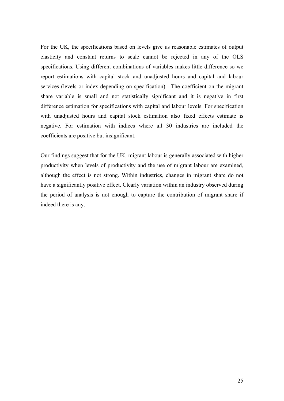For the UK, the specifications based on levels give us reasonable estimates of output elasticity and constant returns to scale cannot be rejected in any of the OLS specifications. Using different combinations of variables makes little difference so we report estimations with capital stock and unadjusted hours and capital and labour services (levels or index depending on specification). The coefficient on the migrant share variable is small and not statistically significant and it is negative in first difference estimation for specifications with capital and labour levels. For specification with unadjusted hours and capital stock estimation also fixed effects estimate is negative. For estimation with indices where all 30 industries are included the coefficients are positive but insignificant.

Our findings suggest that for the UK, migrant labour is generally associated with higher productivity when levels of productivity and the use of migrant labour are examined, although the effect is not strong. Within industries, changes in migrant share do not have a significantly positive effect. Clearly variation within an industry observed during the period of analysis is not enough to capture the contribution of migrant share if indeed there is any.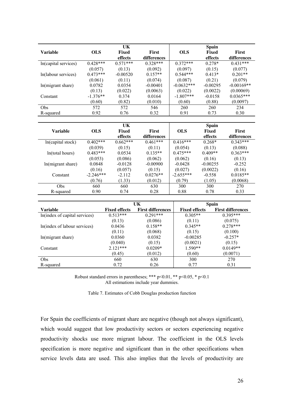|                      |            | UK           |              |              | <b>Spain</b> |              |
|----------------------|------------|--------------|--------------|--------------|--------------|--------------|
| <b>Variable</b>      | <b>OLS</b> | <b>Fixed</b> | <b>First</b> | <b>OLS</b>   | Fixed        | <b>First</b> |
|                      |            | effects      | differences  |              | effects      | differences  |
| In(capital services) | $0.428***$ | $0.571***$   | $0.328***$   | $0.372***$   | $0.278*$     | $0.431***$   |
|                      | (0.057)    | (0.13)       | (0.092)      | (0.097)      | (0.15)       | (0.077)      |
| In(labour services)  | $0.473***$ | $-0.00520$   | $0.157**$    | $0.544***$   | $0.413*$     | $0.201**$    |
|                      | (0.061)    | (0.11)       | (0.074)      | (0.087)      | (0.21)       | (0.079)      |
| ln(migrant share)    | 0.0782     | 0.0354       | $-0.00401$   | $-0.0632***$ | $-0.00295$   | $-0.00169**$ |
|                      | (0.13)     | (0.022)      | (0.0063)     | (0.022)      | (0.0022)     | (0.00069)    |
| Constant             | $-1.376**$ | 0.374        | 0.0164       | $-1.807***$  | $-0.0158$    | $0.0365***$  |
|                      | (0.60)     | (0.82)       | (0.010)      | (0.60)       | (0.88)       | (0.0097)     |
| <b>Obs</b>           | 572        | 572          | 546          | 260          | 260          | 234          |
| R-squared            | 0.92       | 0.76         | 0.32         | 0.91         | 0.73         | 0.30         |

|                   |             | UK         |              |             | <b>Spain</b> |             |
|-------------------|-------------|------------|--------------|-------------|--------------|-------------|
| <b>Variable</b>   | <b>OLS</b>  | Fixed      | <b>First</b> | <b>OLS</b>  | <b>Fixed</b> | First       |
|                   |             | effects    | differences  |             | effects      | differences |
| ln(capital stock) | $0.402***$  | $0.662***$ | $0.461***$   | $0.416***$  | $0.268*$     | $0.343***$  |
|                   | (0.039)     | (0.15)     | (0.11)       | (0.054)     | (0.13)       | (0.088)     |
| ln(total hours)   | $0.483***$  | 0.0534     | $0.135**$    | $0.475***$  | $0.409**$    | $0.363***$  |
|                   | (0.053)     | (0.086)    | (0.062)      | (0.062)     | (0.16)       | (0.13)      |
| ln(migrant share) | 0.0848      | $-0.0128$  | $-0.00900$   | $-0.0428$   | $-0.00255$   | $-0.252$    |
|                   | (0.16)      | (0.057)    | (0.15)       | (0.027)     | (0.0022)     | (0.16)      |
| Constant          | $-2.246***$ | $-2.112$   | $0.0276**$   | $-2.655***$ | $-0.558$     | $0.0185**$  |
|                   | (0.76)      | (1.33)     | (0.012)      | (0.79)      | (1.05)       | (0.0068)    |
| Obs               | 660         | 660        | 630          | 300         | 300          | 270         |
| R-squared         | 0.90        | 0.74       | 0.28         | 0.88        | 0.78         | 0.33        |

|                               |                      | UK                       | Spain                |                          |  |  |
|-------------------------------|----------------------|--------------------------|----------------------|--------------------------|--|--|
| Variable                      | <b>Fixed effects</b> | <b>First differences</b> | <b>Fixed effects</b> | <b>First differences</b> |  |  |
| In(index of capital services) | $0.513***$           | $0.291***$               | $0.305**$            | $0.395***$               |  |  |
|                               | (0.13)               | (0.086)                  | (0.11)               | (0.075)                  |  |  |
| In(index of labour services)  | 0.0436               | $0.158**$                | $0.345**$            | $0.278***$               |  |  |
|                               | (0.11)               | (0.068)                  | (0.15)               | (0.100)                  |  |  |
| ln(migrant share)             | 0.0360               | 0.0382                   | $-0.00285$           | $-0.257*$                |  |  |
|                               | (0.040)              | (0.15)                   | (0.0021)             | (0.15)                   |  |  |
| Constant                      | $2.121***$           | $0.0209*$                | $1.590**$            | $0.0149**$               |  |  |
|                               | (0.45)               | (0.012)                  | (0.60)               | (0.0071)                 |  |  |
| <b>Obs</b>                    | 660                  | 630                      | 300                  | 270                      |  |  |
| R-squared                     | 0.72                 | 0.26                     | 0.77                 | 0.31                     |  |  |

Robust standard errors in parentheses; \*\*\* p<0.01, \*\* p<0.05, \* p<0.1 All estimations include year dummies.

Table 7. Estimates of Cobb Douglas production function

For Spain the coefficients of migrant share are negative (though not always significant), which would suggest that low productivity sectors or sectors experiencing negative productivity shocks use more migrant labour. The coefficient in the OLS levels specification is more negative and significant than in the other specifications when service levels data are used. This also implies that the levels of productivity are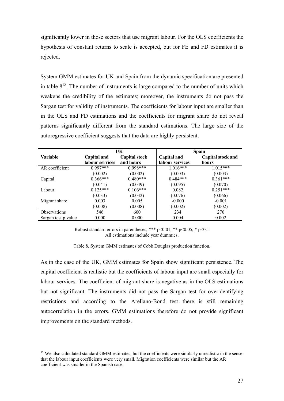significantly lower in those sectors that use migrant labour. For the OLS coefficients the hypothesis of constant returns to scale is accepted, but for FE and FD estimates it is rejected.

System GMM estimates for UK and Spain from the dynamic specification are presented in table  $8^{15}$ . The number of instruments is large compared to the number of units which weakens the credibility of the estimates; moreover, the instruments do not pass the Sargan test for validity of instruments. The coefficients for labour input are smaller than in the OLS and FD estimations and the coefficients for migrant share do not reveal patterns significantly different from the standard estimations. The large size of the autoregressive coefficient suggests that the data are highly persistent.

|                     |                 | UK                   |                 | <b>Spain</b>      |  |  |  |
|---------------------|-----------------|----------------------|-----------------|-------------------|--|--|--|
| Variable            | Capital and     | <b>Capital stock</b> | Capital and     | Capital stock and |  |  |  |
|                     | labour services | and hours            | labour services | hours             |  |  |  |
| AR coefficient      | $0.997***$      | $0.998***$           | $1.016***$      | $1.015***$        |  |  |  |
|                     | (0.002)         | (0.002)              | (0.003)         | (0.003)           |  |  |  |
| Capital             | $0.366***$      | $0.480***$           | $0.484***$      | $0.361***$        |  |  |  |
|                     | (0.041)         | (0.049)              | (0.095)         | (0.070)           |  |  |  |
| Labour              | $0.125***$      | $0.106***$           | 0.082           | $0.251***$        |  |  |  |
|                     | (0.033)         | (0.032)              | (0.076)         | (0.066)           |  |  |  |
| Migrant share       | 0.003           | 0.005                | $-0.000$        | $-0.001$          |  |  |  |
|                     | (0.008)         | (0.008)              | (0.002)         | (0.002)           |  |  |  |
| <b>Observations</b> | 546             | 600                  | 234             | 270               |  |  |  |
| Sargan test p value | 0.000           | 0.000                | 0.004           | 0.002             |  |  |  |

Robust standard errors in parentheses; \*\*\*  $p<0.01$ , \*\*  $p<0.05$ , \*  $p<0.1$ All estimations include year dummies.

Table 8. System GMM estimates of Cobb Douglas production function.

As in the case of the UK, GMM estimates for Spain show significant persistence. The capital coefficient is realistic but the coefficients of labour input are small especially for labour services. The coefficient of migrant share is negative as in the OLS estimations but not significant. The instruments did not pass the Sargan test for overidentifying restrictions and according to the Arellano-Bond test there is still remaining autocorrelation in the errors. GMM estimations therefore do not provide significant improvements on the standard methods.

<u>.</u>

<sup>&</sup>lt;sup>15</sup> We also calculated standard GMM estimates, but the coefficients were similarly unrealistic in the sense that the labour input coefficients were very small. Migration coefficients were similar but the AR coefficient was smaller in the Spanish case.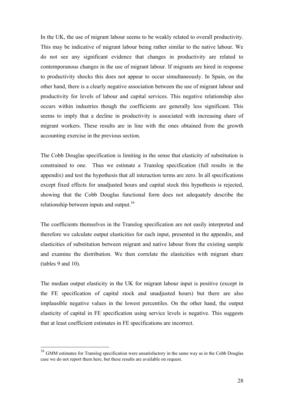In the UK, the use of migrant labour seems to be weakly related to overall productivity. This may be indicative of migrant labour being rather similar to the native labour. We do not see any significant evidence that changes in productivity are related to contemporanous changes in the use of migrant labour. If migrants are hired in response to productivity shocks this does not appear to occur simultaneously. In Spain, on the other hand, there is a clearly negative association between the use of migrant labour and productivity for levels of labour and capital services. This negative relationship also occurs within industries though the coefficients are generally less significant. This seems to imply that a decline in productivity is associated with increasing share of migrant workers. These results are in line with the ones obtained from the growth accounting exercise in the previous section.

The Cobb Douglas specification is limiting in the sense that elasticity of substitution is constrained to one. Thus we estimate a Translog specification (full results in the appendix) and test the hypothesis that all interaction terms are zero. In all specifications except fixed effects for unadjusted hours and capital stock this hypothesis is rejected, showing that the Cobb Douglas functional form does not adequately describe the relationship between inputs and output.<sup>16</sup>

The coefficients themselves in the Translog specification are not easily interpreted and therefore we calculate output elasticities for each input, presented in the appendix, and elasticities of substitution between migrant and native labour from the existing sample and examine the distribution. We then correlate the elasticities with migrant share (tables 9 and 10).

The median output elasticity in the UK for migrant labour input is positive (except in the FE specification of capital stock and unadjusted hours) but there are also implausible negative values in the lowest percentiles. On the other hand, the output elasticity of capital in FE specification using service levels is negative. This suggests that at least coefficient estimates in FE specifications are incorrect.

<u>.</u>

<sup>&</sup>lt;sup>16</sup> GMM estimates for Translog specification were unsatisfactory in the same way as in the Cobb Douglas case we do not report them here, but these results are available on request.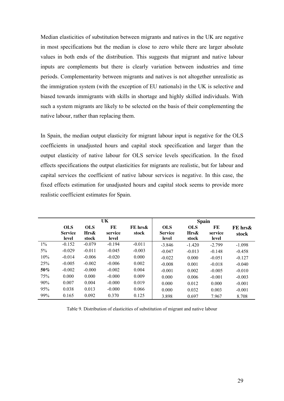Median elasticities of substitution between migrants and natives in the UK are negative in most specifications but the median is close to zero while there are larger absolute values in both ends of the distribution. This suggests that migrant and native labour inputs are complements but there is clearly variation between industries and time periods. Complementarity between migrants and natives is not altogether unrealistic as the immigration system (with the exception of EU nationals) in the UK is selective and biased towards immigrants with skills in shortage and highly skilled individuals. With such a system migrants are likely to be selected on the basis of their complementing the native labour, rather than replacing them.

In Spain, the median output elasticity for migrant labour input is negative for the OLS coefficients in unadjusted hours and capital stock specification and larger than the output elasticity of native labour for OLS service levels specification. In the fixed effects specifications the output elasticities for migrants are realistic, but for labour and capital services the coefficient of native labour services is negative. In this case, the fixed effects estimation for unadjusted hours and capital stock seems to provide more realistic coefficient estimates for Spain.

|        | UK                      |               |                  |          |                         | <b>Spain</b>  |                  |          |
|--------|-------------------------|---------------|------------------|----------|-------------------------|---------------|------------------|----------|
|        | <b>OLS</b>              | <b>OLS</b>    | FE               | FE hrs&  | <b>OLS</b>              | <b>OLS</b>    | FE               | FE hrs&  |
|        | <b>Service</b><br>level | Hrs&<br>stock | service<br>level | stock    | <b>Service</b><br>level | Hrs&<br>stock | service<br>level | stock    |
|        |                         |               |                  |          |                         |               |                  |          |
| $1\%$  | $-0.152$                | $-0.079$      | $-0.194$         | $-0.011$ | $-3.846$                | $-1.420$      | $-2.799$         | $-1.098$ |
| $5\%$  | $-0.029$                | $-0.011$      | $-0.045$         | $-0.003$ | $-0.047$                | $-0.013$      | $-0.148$         | $-0.458$ |
| 10%    | $-0.014$                | $-0.006$      | $-0.020$         | 0.000    | $-0.022$                | 0.000         | $-0.051$         | $-0.127$ |
| 25%    | $-0.005$                | $-0.002$      | $-0.006$         | 0.002    | $-0.008$                | 0.001         | $-0.018$         | $-0.040$ |
| $50\%$ | $-0.002$                | $-0.000$      | $-0.002$         | 0.004    | $-0.001$                | 0.002         | $-0.005$         | $-0.010$ |
| 75%    | 0.000                   | 0.000         | $-0.000$         | 0.009    | 0.000                   | 0.006         | $-0.001$         | $-0.003$ |
| 90%    | 0.007                   | 0.004         | $-0.000$         | 0.019    | 0.000                   | 0.012         | 0.000            | $-0.001$ |
| 95%    | 0.038                   | 0.013         | $-0.000$         | 0.066    | 0.000                   | 0.032         | 0.003            | $-0.001$ |
| 99%    | 0.165                   | 0.092         | 0.370            | 0.125    | 3.898                   | 0.697         | 7.967            | 8.708    |

Table 9. Distribution of elasticities of substitution of migrant and native labour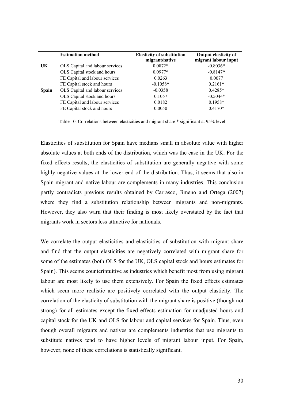|              | <b>Estimation method</b>        | <b>Elasticity of substitution</b><br>migrant/native | <b>Output elasticity of</b><br>migrant labour input |
|--------------|---------------------------------|-----------------------------------------------------|-----------------------------------------------------|
| UK           | OLS Capital and labour services | $0.0872*$                                           | $-0.8036*$                                          |
|              | OLS Capital stock and hours     | $0.0977*$                                           | $-0.8147*$                                          |
|              | FE Capital and labour services  | 0.0263                                              | 0.0077                                              |
|              | FE Capital stock and hours      | $-0.1058*$                                          | $0.2161*$                                           |
| <b>Spain</b> | OLS Capital and labour services | $-0.0358$                                           | $0.4285*$                                           |
|              | OLS Capital stock and hours     | 0.1057                                              | $-0.5044*$                                          |
|              | FE Capital and labour services  | 0.0182                                              | $0.1958*$                                           |
|              | FE Capital stock and hours      | 0.0050                                              | $0.4170*$                                           |

Table 10. Correlations between elasticities and migrant share \* significant at 95% level

Elasticities of substitution for Spain have medians small in absolute value with higher absolute values at both ends of the distribution, which was the case in the UK. For the fixed effects results, the elasticities of substitution are generally negative with some highly negative values at the lower end of the distribution. Thus, it seems that also in Spain migrant and native labour are complements in many industries. This conclusion partly contradicts previous results obtained by Carrasco, Jimeno and Ortega (2007) where they find a substitution relationship between migrants and non-migrants. However, they also warn that their finding is most likely overstated by the fact that migrants work in sectors less attractive for nationals.

We correlate the output elasticities and elasticities of substitution with migrant share and find that the output elasticities are negatively correlated with migrant share for some of the estimates (both OLS for the UK, OLS capital stock and hours estimates for Spain). This seems counterintuitive as industries which benefit most from using migrant labour are most likely to use them extensively. For Spain the fixed effects estimates which seem more realistic are positively correlated with the output elasticity. The correlation of the elasticity of substitution with the migrant share is positive (though not strong) for all estimates except the fixed effects estimation for unadjusted hours and capital stock for the UK and OLS for labour and capital services for Spain. Thus, even though overall migrants and natives are complements industries that use migrants to substitute natives tend to have higher levels of migrant labour input. For Spain, however, none of these correlations is statistically significant.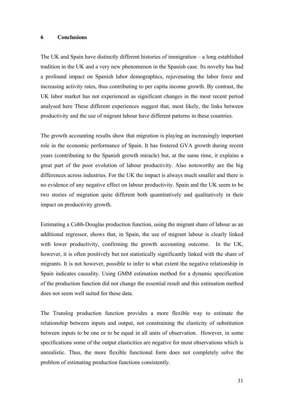#### **6 Conclusions**

The UK and Spain have distinctly different histories of immigration – a long established tradition in the UK and a very new phenomenon in the Spanish case. Its novelty has had a profound impact on Spanish labor demographics, rejuvenating the labor force and increasing activity rates, thus contributing to per capita income growth. By contrast, the UK labor market has not experienced as significant changes in the most recent period analysed here These different experiences suggest that, most likely, the links between productivity and the use of migrant labour have different patterns in these countries.

The growth accounting results show that migration is playing an increasingly important role in the economic performance of Spain. It has fostered GVA growth during recent years (contributing to the Spanish growth miracle) but, at the same time, it explains a great part of the poor evolution of labour productivity. Also noteworthy are the big differences across industries. For the UK the impact is always much smaller and there is no evidence of any negative effect on labour productivity. Spain and the UK seem to be two stories of migration quite different both quantitatively and qualitatively in their impact on productivity growth.

Estimating a Cobb-Douglas production function, using the migrant share of labour as an additional regressor, shows that, in Spain, the use of migrant labour is clearly linked with lower productivity, confirming the growth accounting outcome. In the UK, however, it is often positively but not statistically significantly linked with the share of migrants. It is not however, possible to infer to what extent the negative relationship in Spain indicates causality. Using GMM estimation method for a dynamic specification of the production function did not change the essential result and this estimation method does not seem well suited for these data.

The Translog production function provides a more flexible way to estimate the relationship between inputs and output, not constraining the elasticity of substitution between inputs to be one or to be equal in all units of observation. However, in some specifications some of the output elasticities are negative for most observations which is unrealistic. Thus, the more flexible functional form does not completely solve the problem of estimating production functions consistently.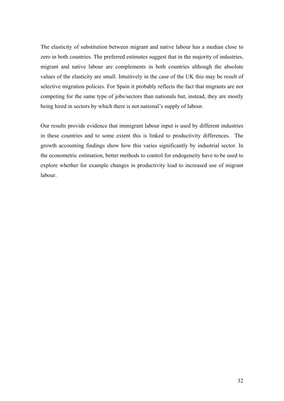The elasticity of substitution between migrant and native labour has a median close to zero in both countries. The preferred estimates suggest that in the majority of industries, migrant and native labour are complements in both countries although the absolute values of the elasticity are small. Intuitively in the case of the UK this may be result of selective migration policies. For Spain it probably reflects the fact that migrants are not competing for the same type of jobs/sectors than nationals but, instead, they are mostly being hired in sectors by which there is not national's supply of labour.

Our results provide evidence that immigrant labour input is used by different industries in these countries and to some extent this is linked to productivity differences. The growth accounting findings show how this varies significantly by industrial sector. In the econometric estimation, better methods to control for endogeneity have to be used to explore whether for example changes in productivity lead to increased use of migrant labour.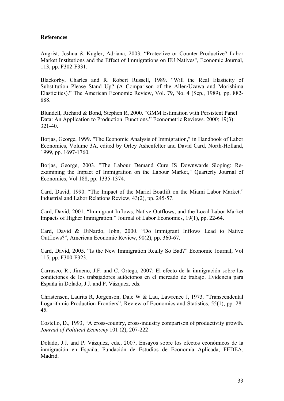#### **References**

Angrist, Joshua & Kugler, Adriana, 2003. "Protective or Counter-Productive? Labor Market Institutions and the Effect of Immigrations on EU Natives", Economic Journal, 113, pp. F302-F331.

Blackorby, Charles and R. Robert Russell, 1989. "Will the Real Elasticity of Substitution Please Stand Up? (A Comparison of the Allen/Uzawa and Morishima Elasticities)." The American Economic Review, Vol. 79, No. 4 (Sep., 1989), pp. 882- 888.

Blundell, Richard & Bond, Stephen R, 2000. "GMM Estimation with Persistent Panel Data: An Application to Production Functions." Econometric Reviews. 2000; 19(3): 321-40.

Borjas, George, 1999. "The Economic Analysis of Immigration," in Handbook of Labor Economics, Volume 3A, edited by Orley Ashenfelter and David Card, North-Holland, 1999, pp. 1697-1760.

Borjas, George, 2003. "The Labour Demand Cure IS Downwards Sloping: Reexamining the Impact of Immigration on the Labour Market," Quarterly Journal of Economics, Vol 188, pp. 1335-1374.

Card, David, 1990. "The Impact of the Mariel Boatlift on the Miami Labor Market." Industrial and Labor Relations Review, 43(2), pp. 245-57.

Card, David, 2001. "Immigrant Inflows, Native Outflows, and the Local Labor Market Impacts of Higher Immigration." Journal of Labor Economics, 19(1), pp. 22-64.

Card, David & DiNardo, John, 2000. "Do Immigrant Inflows Lead to Native Outflows?", American Economic Review, 90(2), pp. 360-67.

Card, David, 2005. "Is the New Immigration Really So Bad?" Economic Journal, Vol 115, pp. F300-F323.

Carrasco, R., Jimeno, J.F. and C. Ortega, 2007: El efecto de la inmigración sobre las condiciones de los trabajadores autóctonos en el mercado de trabajo. Evidencia para España in Dolado, J.J. and P. Vázquez, eds.

Christensen, Laurits R, Jorgenson, Dale W & Lau, Lawrence J, 1973. "Transcendental Logarithmic Production Frontiers", Review of Economics and Statistics, 55(1), pp. 28- 45.

Costello, D., 1993, "A cross-country, cross-industry comparison of productivity growth. *Journal of Political Economy* 101 (2), 207-222

Dolado, J.J. and P. Vázquez, eds., 2007, Ensayos sobre los efectos económicos de la inmigración en España, Fundación de Estudios de Economía Aplicada, FEDEA, Madrid.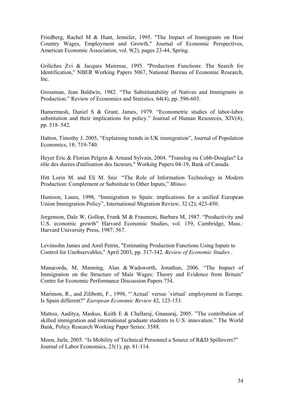Friedberg, Rachel M & Hunt, Jennifer, 1995. "The Impact of Immigrants on Host Country Wages, Employment and Growth," Journal of Economic Perspectives, American Economic Association, vol. 9(2), pages 23-44, Spring.

Griliches Zvi & Jacques Mairesse, 1995. "Production Functions: The Search for Identification," NBER Working Papers 5067, National Bureau of Economic Research, Inc.

Grossman, Jean Baldwin, 1982. "The Substitutability of Natives and Immigrants in Production." Review of Economics and Statistics. 64(4), pp. 596-603.

Hamermesh, Daniel S & Grant, James, 1979. "Econometric studies of labor-labor substitution and their implications for policy." Journal of Human Resources, XIV(4), pp. 518–542.

Hatton, Timothy J. 2005, "Explaining trends in UK immigration", Journal of Population Economics, 18; 719-740.

Heyer Eric & Florian Pelgrin & Arnaud Sylvain, 2004. "Translog ou Cobb-Douglas? Le rôle des durées d'utilisation des facteurs," Working Papers 04-19, Bank of Canada.

Hitt Lorin M. and Eli M. Snir "The Role of Information Technology in Modern Production: Complement or Substitute to Other Inputs," *Mimeo* 

Huntoon, Laura, 1998, "Immigration to Spain: implications for a unified European Union Immigration Policy", International Migration Review, 32 (2); 423-450.

Jorgenson, Dale W, Gollop, Frank M & Fraumeni, Barbara M, 1987. "Productivity and U.S. economic growth" Harvard Economic Studies, vol. 159, Cambridge, Mass.: Harvard University Press, 1987; 567.

Levinsohn James and Amil Petrin, "Estimating Production Functions Using Inputs to Control for Unobservables," April 2003, pp. 317-342. *Review of Economic Studies* .

Manacorda, M, Manning, Alan & Wadsworth, Jonathan, 2006. "The Impact of Immigration on the Structure of Male Wages: Theory and Evidence from Britain" Centre for Economic Performance Discussion Papers 754.

Marimon, R., and Zilibotti, F., 1998, "`Actual' versus `virtual' employment in Europe. Is Spain different?" *European Economic Review* 42, 123-153.

Mattoo, Aaditya, Maskus, Keith E & Chellaraj, Gnanaraj, 2005. "The contribution of skilled immigration and international graduate students to U.S. innovation." The World Bank, Policy Research Working Paper Series: 3588.

Moen, Jarle, 2005. "Is Mobility of Technical Personnel a Source of R&D Spillovers?" Journal of Labor Economics, 23(1), pp. 81-114.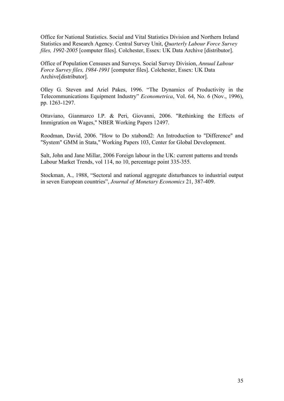Office for National Statistics. Social and Vital Statistics Division and Northern Ireland Statistics and Research Agency. Central Survey Unit, *Quarterly Labour Force Survey files, 1992-2005* [computer files]. Colchester, Essex: UK Data Archive [distributor].

Office of Population Censuses and Surveys. Social Survey Division, *Annual Labour Force Survey files, 1984-1991* [computer files]. Colchester, Essex: UK Data Archive[distributor].

Olley G. Steven and Ariel Pakes, 1996. "The Dynamics of Productivity in the Telecommunications Equipment Industry" *Econometrica*, Vol. 64, No. 6 (Nov., 1996), pp. 1263-1297.

Ottaviano, Gianmarco I.P. & Peri, Giovanni, 2006. "Rethinking the Effects of Immigration on Wages," NBER Working Papers 12497.

Roodman, David, 2006. "How to Do xtabond2: An Introduction to "Difference" and "System" GMM in Stata," Working Papers 103, Center for Global Development.

Salt, John and Jane Millar, 2006 Foreign labour in the UK: current patterns and trends Labour Market Trends, vol 114, no 10, percentage point 335-355.

Stockman, A., 1988, "Sectoral and national aggregate disturbances to industrial output in seven European countries", *Journal of Monetary Economics* 21, 387-409.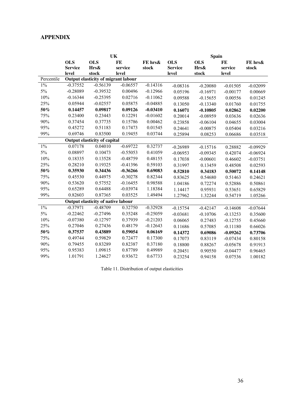#### **APPENDIX**

|                                                   | UK             |                                    |            |            | <b>Spain</b>   |            |            |            |  |
|---------------------------------------------------|----------------|------------------------------------|------------|------------|----------------|------------|------------|------------|--|
|                                                   | <b>OLS</b>     | <b>OLS</b>                         | FE         | FE hrs&    | <b>OLS</b>     | <b>OLS</b> | FE         | FE hrs&    |  |
|                                                   | <b>Service</b> | Hrs&                               | service    | stock      | <b>Service</b> | Hrs&       | service    | stock      |  |
|                                                   | level          | stock                              | level      |            | level          | stock      | level      |            |  |
| Percentile<br>Output elasticity of migrant labour |                |                                    |            |            |                |            |            |            |  |
| $1\%$                                             | $-0.37552$     | $-0.56139$                         | $-0.06557$ | $-0.14316$ | $-0.08316$     | $-0.20080$ | $-0.01505$ | $-0.02099$ |  |
| 5%                                                | $-0.28089$     | $-0.39532$                         | 0.00496    | $-0.12966$ | 0.05196        | $-0.16971$ | $-0.00177$ | 0.00669    |  |
| 10%                                               | $-0.16344$     | $-0.25395$                         | 0.02716    | $-0.11062$ | 0.09588        | $-0.15655$ | 0.00556    | 0.01245    |  |
| 25%                                               | 0.05944        | $-0.02557$                         | 0.05875    | $-0.04885$ | 0.13050        | $-0.13340$ | 0.01760    | 0.01755    |  |
| $50\%$                                            | 0.14457        | 0.09817                            | 0.09126    | $-0.03410$ | 0.16071        | $-0.10805$ | 0.02862    | 0.02200    |  |
| 75%                                               | 0.23400        | 0.23443                            | 0.12291    | $-0.01602$ | 0.20014        | $-0.08959$ | 0.03636    | 0.02636    |  |
| 90%                                               | 0.37454        | 0.37735                            | 0.15786    | 0.00462    | 0.23858        | $-0.06104$ | 0.04655    | 0.03004    |  |
| 95%                                               | 0.45272        | 0.51183                            | 0.17473    | 0.01545    | 0.24641        | $-0.00875$ | 0.05404    | 0.03216    |  |
| 99%                                               | 0.69746        | 0.83500                            | 0.19455    | 0.03744    | 0.25894        | 0.08253    | 0.06686    | 0.03518    |  |
| <b>Output elasticity of capital</b>               |                |                                    |            |            |                |            |            |            |  |
| $1\%$                                             | 0.07178        | 0.04010                            | $-0.69722$ | 0.32737    | $-0.26989$     | $-0.15716$ | 0.28882    | $-0.09929$ |  |
| $5\%$                                             | 0.08897        | 0.10473                            | $-0.55053$ | 0.41059    | $-0.06953$     | $-0.09345$ | 0.42074    | $-0.06924$ |  |
| 10%                                               | 0.18335        | 0.13528                            | $-0.48759$ | 0.48155    | 0.17038        | $-0.00601$ | 0.46602    | $-0.03751$ |  |
| 25%                                               | 0.28210        | 0.19325                            | $-0.41396$ | 0.59103    | 0.31997        | 0.13459    | 0.48508    | 0.02593    |  |
| 50%                                               | 0.35930        | 0.34436                            | $-0.36266$ | 0.69083    | 0.52810        | 0.34183    | 0.50072    | 0.14148    |  |
| 75%                                               | 0.45530        | 0.44975                            | $-0.30278$ | 0.82344    | 0.83625        | 0.54680    | 0.51463    | 0.24621    |  |
| 90%                                               | 0.53620        | 0.57552                            | $-0.16455$ | 0.98588    | 1.04186        | 0.72274    | 0.52886    | 0.50861    |  |
| 95%                                               | 0.65289        | 0.64488                            | $-0.03974$ | 1.18384    | 1.14417        | 0.95931    | 0.53651    | 0.65829    |  |
| 99%                                               | 0.82603        | 0.87365                            | 0.03525    | 1.49494    | 1.27962        | 1.32244    | 0.54719    | 1.05266    |  |
|                                                   |                | Output elasticity of native labour |            |            |                |            |            |            |  |
| $1\%$                                             | $-0.37971$     | $-0.48709$                         | 0.32750    | $-0.32928$ | $-0.15754$     | $-0.42147$ | $-0.14608$ | $-0.07644$ |  |
| $5\%$                                             | $-0.22462$     | $-0.27496$                         | 0.35248    | $-0.25059$ | $-0.03681$     | $-0.10706$ | $-0.13253$ | 0.35600    |  |
| $10\%$                                            | $-0.07380$     | $-0.12797$                         | 0.37939    | $-0.21203$ | 0.06065        | 0.27483    | $-0.12755$ | 0.45660    |  |
| 25%                                               | 0.27046        | 0.27436                            | 0.48179    | $-0.12643$ | 0.11686        | 0.57085    | $-0.11180$ | 0.66026    |  |
| $50\%$                                            | 0.37537        | 0.43889                            | 0.59054    | 0.06169    | 0.14372        | 0.69086    | $-0.09262$ | 0.73706    |  |
| 75%                                               | 0.49744        | 0.59829                            | 0.72477    | 0.17300    | 0.17073        | 0.83119    | $-0.07434$ | 0.80158    |  |
| 90%                                               | 0.79455        | 0.83289                            | 0.82387    | 0.37180    | 0.18800        | 0.88267    | $-0.05678$ | 0.91913    |  |
| 95%                                               | 0.95383        | 1.09815                            | 0.87789    | 0.49989    | 0.20451        | 0.90550    | $-0.04477$ | 0.96465    |  |
| 99%                                               | 1.01791        | 1.24627                            | 0.93672    | 0.67733    | 0.23254        | 0.94158    | 0.07536    | 1.00182    |  |

Table 11. Distribution of output elasticities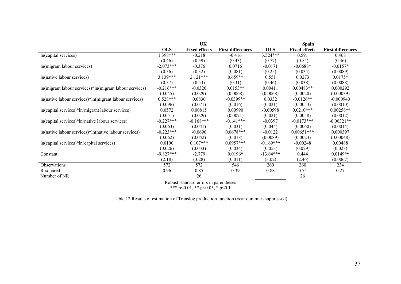|                                                         | <b>UK</b>   |                      |                          | <b>Spain</b> |                      |                          |  |
|---------------------------------------------------------|-------------|----------------------|--------------------------|--------------|----------------------|--------------------------|--|
|                                                         | <b>OLS</b>  | <b>Fixed effects</b> | <b>First differences</b> | <b>OLS</b>   | <b>Fixed effects</b> | <b>First differences</b> |  |
| In(capital services)                                    | 1.398***    | $-0.218$             | $-0.416$                 | $3.524***$   | 0.591                | 0.468                    |  |
|                                                         | (0.46)      | (0.59)               | (0.43)                   | (0.77)       | (0.54)               | (0.46)                   |  |
| In(migrant labour services)                             | $-2.073***$ | $-0.376$             | 0.0716                   | $-0.0171$    | $-0.0688*$           | $-0.0157*$               |  |
|                                                         | (0.36)      | (0.32)               | (0.081)                  | (0.25)       | (0.034)              | (0.0089)                 |  |
| In(native labour services)                              | $3.139***$  | $2.121***$           | $0.659**$                | 0.551        | 0.0273               | $0.0175*$                |  |
|                                                         | (0.37)      | (0.53)               | (0.31)                   | (0.46)       | (0.038)              | (0.0088)                 |  |
| In(migrant labour services)*In(migrant labour services) | $-0.216***$ | $-0.0320$            | $0.0153**$               | 0.00411      | $0.00483**$          | 0.000292                 |  |
|                                                         | (0.045)     | (0.029)              | (0.0068)                 | (0.0068)     | (0.0020)             | (0.00039)                |  |
| ln(native labour services)*ln(migrant labour services)  | $0.528***$  | 0.0830               | $-0.0399**$              | 0.0332       | $-0.0126**$          | $-0.000940$              |  |
|                                                         | (0.096)     | (0.071)              | (0.016)                  | (0.021)      | (0.0053)             | (0.0010)                 |  |
| ln(capital services)*ln(migrant labour services)        | 0.0572      | 0.00815              | 0.00990                  | $-0.00598$   | $0.0210***$          | $0.00258**$              |  |
|                                                         | (0.051)     | (0.029)              | (0.0071)                 | (0.021)      | (0.0058)             | (0.0012)                 |  |
| In(capital services)*ln(native labour services)         | $-0.227***$ | $-0.168***$          | $-0.141***$              | $-0.0397$    | $-0.0173***$         | $-0.00321**$             |  |
|                                                         | (0.063)     | (0.041)              | (0.031)                  | (0.044)      | (0.0060)             | (0.0014)                 |  |
| In(native labour services)*In(native labour services)   | $-0.223***$ | $-0.0690$            | $0.0678***$              | $-0.0122$    | $0.00651***$         | 0.000397                 |  |
|                                                         | (0.062)     | (0.042)              | (0.018)                  | (0.0089)     | (0.0023)             | (0.00048)                |  |
| ln(capital services)*ln(capital services)               | 0.0100      | $0.107***$           | $0.0957***$              | $-0.169***$  | $-0.00248$           | 0.00488                  |  |
|                                                         | (0.026)     | (0.033)              | (0.034)                  | (0.053)      | (0.029)              | (0.023)                  |  |
| Constant                                                | $-9.827***$ | $-2.779$             | $0.0196*$                | $-13.64***$  | 0.444                | $0.0149**$               |  |
|                                                         | (2.18)      | (3.28)               | (0.011)                  | (3.02)       | (2.46)               | (0.0067)                 |  |
| Observations                                            | 572         | 572                  | 546                      | 260          | 260                  | 234                      |  |
| R-squared                                               | 0.96        | 0.85                 | 0.39                     | 0.88         | 0.75                 | 0.27                     |  |
| Number of NR                                            |             | 26                   |                          |              | 26                   |                          |  |
| Robust standard errors in parentheses                   |             |                      |                          |              |                      |                          |  |

\*\*\* p<0.01, \*\* p<0.05, \* p<0.1

Table 12 Results of estimation of Translog production function (year dummies suppressed)